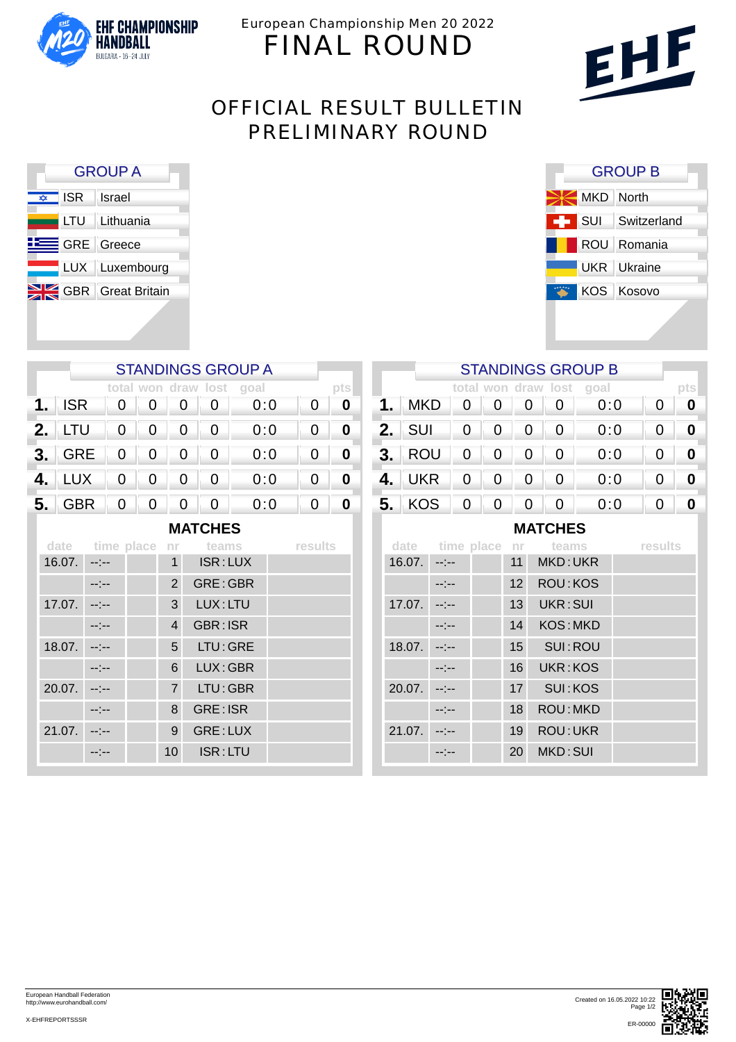

European Championship Men 20 2022 FINAL ROUND



# OFFICIAL RESULT BULLETIN PRELIMINARY ROUND

F

| <b>GROUP A</b>         |                              |  |  |  |  |  |  |  |
|------------------------|------------------------------|--|--|--|--|--|--|--|
| $\frac{1}{\sqrt{2}}$   | ISR Israel                   |  |  |  |  |  |  |  |
|                        | LTU Lithuania                |  |  |  |  |  |  |  |
| <b>EXECUTE:</b> Greece |                              |  |  |  |  |  |  |  |
|                        | LUX Luxembourg               |  |  |  |  |  |  |  |
|                        | <b>SIZ GBR</b> Great Britain |  |  |  |  |  |  |  |
|                        |                              |  |  |  |  |  |  |  |

|                | <b>STANDINGS GROUP A</b> |   |                          |   |   |                          |   |  |  |  |
|----------------|--------------------------|---|--------------------------|---|---|--------------------------|---|--|--|--|
|                |                          |   |                          |   |   | total won draw lost goal |   |  |  |  |
| 1.             | <b>ISR</b>               | 0 |                          |   |   | 0:0                      | 0 |  |  |  |
| 2.             | LTU                      | 0 | 0                        | 0 | 0 | 0:0                      | 0 |  |  |  |
| 3.             | GRE                      | 0 | 0                        | 0 | 0 | 0:0                      | 0 |  |  |  |
| 4.             | <b>LUX</b>               | 0 | 0                        | 0 | 0 | 0:0                      | 0 |  |  |  |
| 5.             | <b>GBR</b>               | 0 | $\overline{\phantom{0}}$ | 0 | 0 | 0:0                      |   |  |  |  |
| <b>MATCHES</b> |                          |   |                          |   |   |                          |   |  |  |  |

|        | date time place nr |                 | teams           | results |  |  |  |
|--------|--------------------|-----------------|-----------------|---------|--|--|--|
| 16.07. |                    | $\overline{1}$  | ISR: LUX        |         |  |  |  |
|        |                    | $\overline{2}$  | GRE: GBR        |         |  |  |  |
| 17.07. |                    | 3               | LUX: LTU        |         |  |  |  |
|        |                    | $\overline{4}$  | GBR: ISR        |         |  |  |  |
| 18.07. |                    | 5               | LTU: GRE        |         |  |  |  |
|        |                    | 6               | LUX: GBR        |         |  |  |  |
| 20.07. |                    | $\overline{7}$  | LTU: GBR        |         |  |  |  |
|        |                    | 8               | <b>GRE: ISR</b> |         |  |  |  |
| 21.07. |                    | 9               | GRE: LUX        |         |  |  |  |
|        |                    | 10 <sup>°</sup> | ISR:LTU         |         |  |  |  |

| <b>GROUP B</b> |                    |  |  |  |  |  |  |  |
|----------------|--------------------|--|--|--|--|--|--|--|
| MKD North      |                    |  |  |  |  |  |  |  |
|                | SUI Switzerland    |  |  |  |  |  |  |  |
|                | ROU Romania        |  |  |  |  |  |  |  |
|                | <b>UKR</b> Ukraine |  |  |  |  |  |  |  |
|                | KOS Kosovo         |  |  |  |  |  |  |  |
|                |                    |  |  |  |  |  |  |  |

|    | <b>STANDINGS GROUP B</b> |              |                          |                |                |                          |   |             |  |  |
|----|--------------------------|--------------|--------------------------|----------------|----------------|--------------------------|---|-------------|--|--|
|    |                          |              |                          |                |                | total won draw lost goal |   | pts         |  |  |
| 1. | <b>MKD</b>               | 0            | $\overline{\phantom{0}}$ | 0              | $\mathbf{0}$   | 0:0                      | 0 |             |  |  |
|    | $2.$ SUI                 | $\mathbf{0}$ | $\overline{0}$           | 0              | 0              | 0:0                      | 0 |             |  |  |
|    | <b>3. ROU</b>            | 0            | $\overline{0}$           | 0              |                | 0:0                      | 0 | $\mathbf 0$ |  |  |
| 4. | <b>UKR</b>               | 0            | $\overline{0}$           | 0              | 0              | 0:0                      | 0 |             |  |  |
|    | 5. KOS 0 0               |              |                          | $\overline{0}$ | $\overline{0}$ | 0:0                      | 0 |             |  |  |
|    | MATCHES                  |              |                          |                |                |                          |   |             |  |  |

**MATCHES**

|        |       |  |                  | date time place nr teams | results |  |  |
|--------|-------|--|------------------|--------------------------|---------|--|--|
| 16.07. |       |  | 11               | MKD: UKR                 |         |  |  |
|        | -:--  |  | 12 <sup>1</sup>  | <b>ROU: KOS</b>          |         |  |  |
| 17.07. |       |  | 13               | UKR: SUI                 |         |  |  |
|        |       |  | 14               | <b>KOS: MKD</b>          |         |  |  |
| 18.07. | --1-- |  | 15 <sub>15</sub> | SUI:ROU                  |         |  |  |
|        |       |  | 16               | UKR:KOS                  |         |  |  |
| 20.07. |       |  | 17               | SUI: KOS                 |         |  |  |
|        |       |  | 18               | ROU: MKD                 |         |  |  |
| 21.07. |       |  | 19               | <b>ROU: UKR</b>          |         |  |  |
|        |       |  | 20               | MKD: SUI                 |         |  |  |
|        |       |  |                  |                          |         |  |  |



European Handball Federation http://www.eurohandball.com/